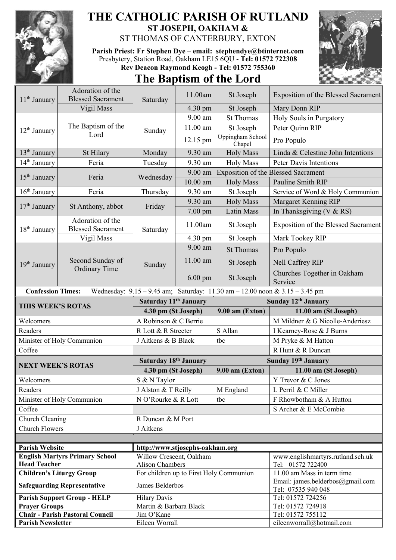

## **THE CATHOLIC PARISH OF RUTLAND ST JOSEPH, OAKHAM &**

ST THOMAS OF CANTERBURY, EXTON

**Parish Priest: Fr Stephen Dye** – **[email: stephendye@btinternet.com](mailto:email:%20%20stephendye@btinternet.com)** Presbytery, Station Road, Oakham LE15 6QU - **Tel: 01572 722308 Rev Deacon Raymond Keogh - Tel: 01572 755360**

## **The Baptism of the Lord**



| 11 <sup>th</sup> January | Adoration of the                             | Saturday                             | 11.00am            | St Joseph                                                                   | Exposition of the Blessed Sacrament                            |
|--------------------------|----------------------------------------------|--------------------------------------|--------------------|-----------------------------------------------------------------------------|----------------------------------------------------------------|
|                          | <b>Blessed Sacrament</b>                     |                                      |                    |                                                                             |                                                                |
|                          | Vigil Mass                                   |                                      | 4.30 pm<br>9.00 am | St Joseph<br><b>St Thomas</b>                                               | Mary Donn RIP<br>Holy Souls in Purgatory                       |
|                          | The Baptism of the                           |                                      | 11.00 am           |                                                                             | Peter Quinn RIP                                                |
| $12th$ January           | Lord                                         | Sunday                               |                    | St Joseph<br>Uppingham School                                               |                                                                |
|                          |                                              |                                      | 12.15 pm           | Chapel                                                                      | Pro Populo                                                     |
| $13th$ January           | St Hilary                                    | Monday                               | 9.30 am            | <b>Holy Mass</b>                                                            | Linda & Celestine John Intentions                              |
| 14 <sup>th</sup> January | Feria                                        | Tuesday                              | 9.30 am            | <b>Holy Mass</b>                                                            | <b>Peter Davis Intentions</b>                                  |
| $15th$ January           | Feria                                        | Wednesday                            | 9.00 am            |                                                                             | <b>Exposition of the Blessed Sacrament</b>                     |
|                          |                                              |                                      | $10.00$ am         | <b>Holy Mass</b>                                                            | Pauline Smith RIP                                              |
| $16th$ January           | Feria                                        | Thursday                             | 9.30 am            | St Joseph                                                                   | Service of Word & Holy Communion                               |
| $17th$ January           | St Anthony, abbot                            | Friday                               | 9.30 am            | <b>Holy Mass</b>                                                            | Margaret Kenning RIP                                           |
|                          |                                              |                                      | 7.00 pm            | Latin Mass                                                                  | In Thanksgiving (V & RS)                                       |
| $18th$ January           | Adoration of the<br><b>Blessed Sacrament</b> | Saturday                             | 11.00am            | St Joseph                                                                   | <b>Exposition of the Blessed Sacrament</b>                     |
|                          | Vigil Mass                                   |                                      | 4.30 pm            | St Joseph                                                                   | Mark Tookey RIP                                                |
|                          | Second Sunday of<br><b>Ordinary Time</b>     | Sunday                               | 9.00 am            | <b>St Thomas</b>                                                            | Pro Populo                                                     |
| 19 <sup>th</sup> January |                                              |                                      | 11.00 am           | St Joseph                                                                   | <b>Nell Caffrey RIP</b>                                        |
|                          |                                              |                                      | $6.00 \text{ pm}$  | St Joseph                                                                   | Churches Together in Oakham<br>Service                         |
| <b>Confession Times:</b> |                                              |                                      |                    | Wednesday: 9.15 - 9.45 am; Saturday: 11.30 am - 12.00 noon & 3.15 - 3.45 pm |                                                                |
|                          |                                              | Saturday 11 <sup>th</sup> January    |                    |                                                                             | Sunday 12 <sup>th</sup> January                                |
|                          |                                              |                                      |                    |                                                                             |                                                                |
|                          | THIS WEEK'S ROTAS                            | 4.30 pm (St Joseph)                  |                    | $9.00$ am (Exton)                                                           | 11.00 am (St Joseph)                                           |
| Welcomers                |                                              | A Robinson & C Berrie                |                    |                                                                             | M Mildner & G Nicolle-Anderiesz                                |
| Readers                  |                                              | R Lott & R Streeter                  |                    | S Allan                                                                     | I Kearney-Rose & J Burns                                       |
|                          | Minister of Holy Communion                   | J Aitkens & B Black                  |                    | tbc                                                                         | M Pryke & M Hatton                                             |
| Coffee                   |                                              |                                      |                    |                                                                             | R Hunt & R Duncan                                              |
|                          |                                              | Saturday 18th January                |                    |                                                                             | Sunday 19th January                                            |
| <b>NEXT WEEK'S ROTAS</b> |                                              | 4.30 pm (St Joseph)                  |                    | $9.00$ am (Exton)                                                           | 11.00 am (St Joseph)                                           |
| Welcomers                |                                              | S & N Taylor                         |                    |                                                                             | Y Trevor & C Jones                                             |
| Readers                  |                                              | J Alston & T Reilly                  |                    | M England                                                                   | L Perril & C Miller                                            |
|                          | Minister of Holy Communion                   | N O'Rourke & R Lott                  |                    | tbc                                                                         | F Rhowbotham & A Hutton                                        |
| Coffee                   |                                              |                                      |                    |                                                                             | S Archer & E McCombie                                          |
| Church Cleaning          |                                              | R Duncan & M Port                    |                    |                                                                             |                                                                |
| <b>Church Flowers</b>    |                                              | J Aitkens                            |                    |                                                                             |                                                                |
|                          |                                              |                                      |                    |                                                                             |                                                                |
| <b>Parish Website</b>    |                                              | http://www.stjosephs-oakham.org      |                    |                                                                             |                                                                |
|                          | <b>English Martyrs Primary School</b>        | Willow Crescent, Oakham              |                    |                                                                             | www.englishmartyrs.rutland.sch.uk                              |
| <b>Head Teacher</b>      |                                              | <b>Alison Chambers</b>               |                    |                                                                             | Tel: 01572 722400                                              |
|                          | <b>Children's Liturgy Group</b>              |                                      |                    | For children up to First Holy Communion                                     | 11.00 am Mass in term time<br>Email: james.belderbos@gmail.com |
|                          | <b>Safeguarding Representative</b>           | James Belderbos                      |                    |                                                                             | Tel: 07535 940 048                                             |
|                          | <b>Parish Support Group - HELP</b>           | <b>Hilary Davis</b>                  |                    |                                                                             | Tel: 01572 724256                                              |
| <b>Prayer Groups</b>     | <b>Chair - Parish Pastoral Council</b>       | Martin & Barbara Black<br>Jim O'Kane |                    |                                                                             | Tel: 01572 724918<br>Tel: 01572 755112                         |